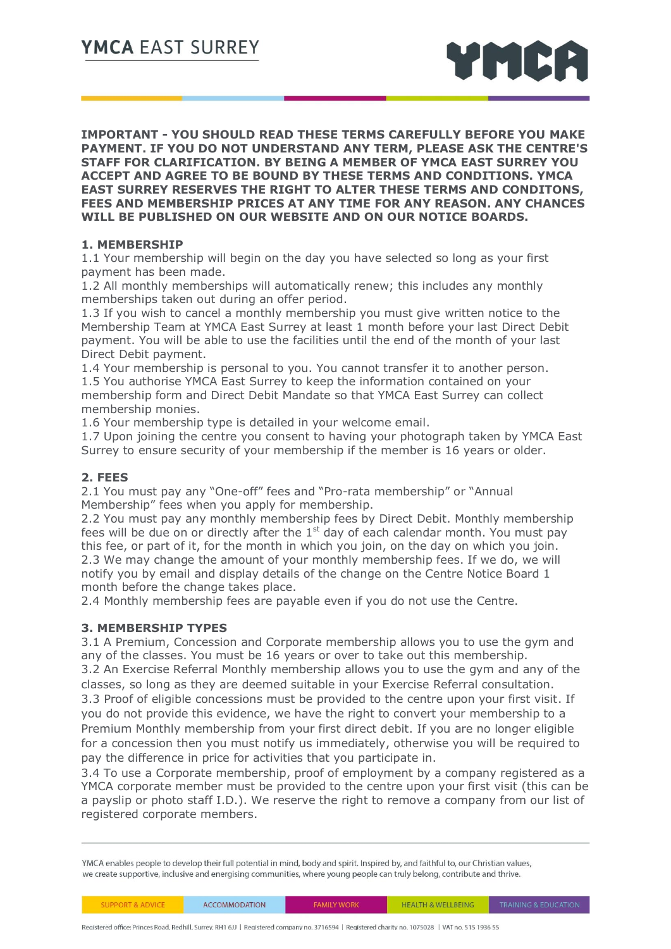

**IMPORTANT - YOU SHOULD READ THESE TERMS CAREFULLY BEFORE YOU MAKE PAYMENT. IF YOU DO NOT UNDERSTAND ANY TERM, PLEASE ASK THE CENTRE'S STAFF FOR CLARIFICATION. BY BEING A MEMBER OF YMCA EAST SURREY YOU ACCEPT AND AGREE TO BE BOUND BY THESE TERMS AND CONDITIONS. YMCA EAST SURREY RESERVES THE RIGHT TO ALTER THESE TERMS AND CONDITONS, FEES AND MEMBERSHIP PRICES AT ANY TIME FOR ANY REASON. ANY CHANCES WILL BE PUBLISHED ON OUR WEBSITE AND ON OUR NOTICE BOARDS.** 

# **1. MEMBERSHIP**

1.1 Your membership will begin on the day you have selected so long as your first payment has been made.

1.2 All monthly memberships will automatically renew; this includes any monthly memberships taken out during an offer period.

1.3 If you wish to cancel a monthly membership you must give written notice to the Membership Team at YMCA East Surrey at least 1 month before your last Direct Debit payment. You will be able to use the facilities until the end of the month of your last Direct Debit payment.

1.4 Your membership is personal to you. You cannot transfer it to another person. 1.5 You authorise YMCA East Surrey to keep the information contained on your membership form and Direct Debit Mandate so that YMCA East Surrey can collect membership monies.

1.6 Your membership type is detailed in your welcome email.

1.7 Upon joining the centre you consent to having your photograph taken by YMCA East Surrey to ensure security of your membership if the member is 16 years or older.

## **2. FEES**

2.1 You must pay any "One-off" fees and "Pro-rata membership" or "Annual Membership" fees when you apply for membership.

2.2 You must pay any monthly membership fees by Direct Debit. Monthly membership fees will be due on or directly after the  $1<sup>st</sup>$  day of each calendar month. You must pay this fee, or part of it, for the month in which you join, on the day on which you join. 2.3 We may change the amount of your monthly membership fees. If we do, we will notify you by email and display details of the change on the Centre Notice Board 1 month before the change takes place.

2.4 Monthly membership fees are payable even if you do not use the Centre.

#### **3. MEMBERSHIP TYPES**

3.1 A Premium, Concession and Corporate membership allows you to use the gym and any of the classes. You must be 16 years or over to take out this membership. 3.2 An Exercise Referral Monthly membership allows you to use the gym and any of the

classes, so long as they are deemed suitable in your Exercise Referral consultation. 3.3 Proof of eligible concessions must be provided to the centre upon your first visit. If

you do not provide this evidence, we have the right to convert your membership to a Premium Monthly membership from your first direct debit. If you are no longer eligible for a concession then you must notify us immediately, otherwise you will be required to pay the difference in price for activities that you participate in.

3.4 To use a Corporate membership, proof of employment by a company registered as a YMCA corporate member must be provided to the centre upon your first visit (this can be a payslip or photo staff I.D.). We reserve the right to remove a company from our list of registered corporate members.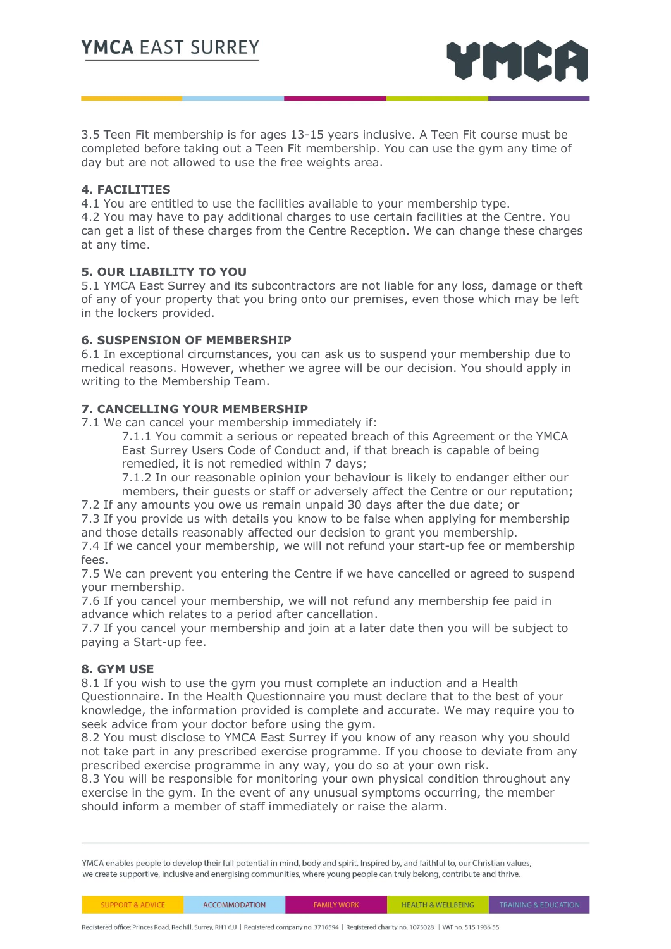

3.5 Teen Fit membership is for ages 13-15 years inclusive. A Teen Fit course must be completed before taking out a Teen Fit membership. You can use the gym any time of day but are not allowed to use the free weights area.

#### **4. FACILITIES**

4.1 You are entitled to use the facilities available to your membership type. 4.2 You may have to pay additional charges to use certain facilities at the Centre. You can get a list of these charges from the Centre Reception. We can change these charges at any time.

# **5. OUR LIABILITY TO YOU**

5.1 YMCA East Surrey and its subcontractors are not liable for any loss, damage or theft of any of your property that you bring onto our premises, even those which may be left in the lockers provided.

## **6. SUSPENSION OF MEMBERSHIP**

6.1 In exceptional circumstances, you can ask us to suspend your membership due to medical reasons. However, whether we agree will be our decision. You should apply in writing to the Membership Team.

## **7. CANCELLING YOUR MEMBERSHIP**

7.1 We can cancel your membership immediately if:

7.1.1 You commit a serious or repeated breach of this Agreement or the YMCA East Surrey Users Code of Conduct and, if that breach is capable of being remedied, it is not remedied within 7 days;

7.1.2 In our reasonable opinion your behaviour is likely to endanger either our members, their guests or staff or adversely affect the Centre or our reputation;

7.2 If any amounts you owe us remain unpaid 30 days after the due date; or

7.3 If you provide us with details you know to be false when applying for membership and those details reasonably affected our decision to grant you membership.

7.4 If we cancel your membership, we will not refund your start-up fee or membership fees.

7.5 We can prevent you entering the Centre if we have cancelled or agreed to suspend your membership.

7.6 If you cancel your membership, we will not refund any membership fee paid in advance which relates to a period after cancellation.

7.7 If you cancel your membership and join at a later date then you will be subject to paying a Start-up fee.

#### **8. GYM USE**

8.1 If you wish to use the gym you must complete an induction and a Health Questionnaire. In the Health Questionnaire you must declare that to the best of your knowledge, the information provided is complete and accurate. We may require you to seek advice from your doctor before using the gym.

8.2 You must disclose to YMCA East Surrey if you know of any reason why you should not take part in any prescribed exercise programme. If you choose to deviate from any prescribed exercise programme in any way, you do so at your own risk.

8.3 You will be responsible for monitoring your own physical condition throughout any exercise in the gym. In the event of any unusual symptoms occurring, the member should inform a member of staff immediately or raise the alarm.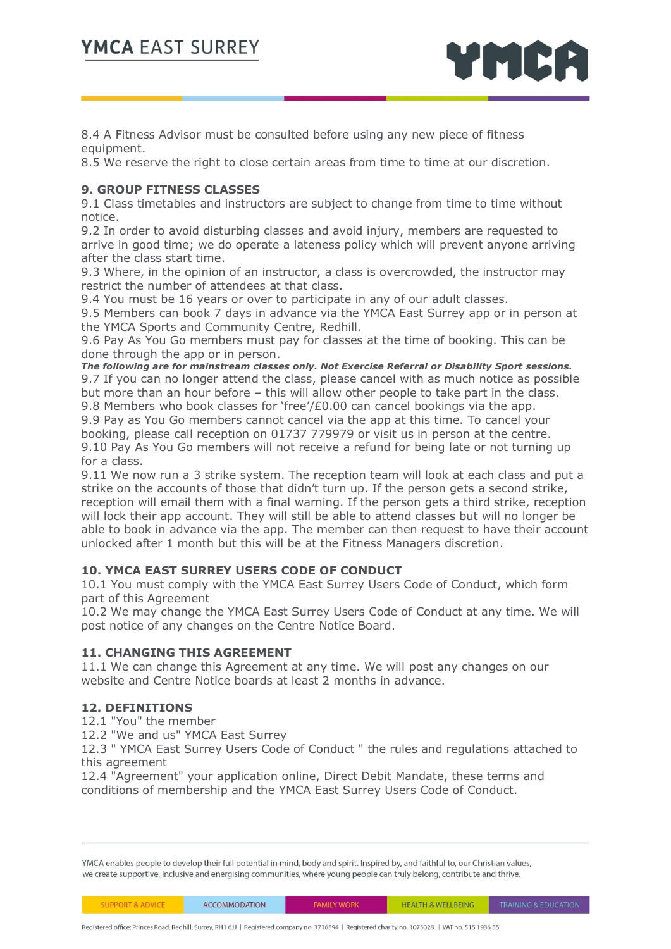

8.4 A Fitness Advisor must be consulted before using any new piece of fitness equipment.

8.5 We reserve the right to close certain areas from time to time at our discretion.

# **9. GROUP FITNESS CLASSES**

9.1 Class timetables and instructors are subject to change from time to time without notice.

9.2 In order to avoid disturbing classes and avoid injury, members are requested to arrive in good time; we do operate a lateness policy which will prevent anyone arriving after the class start time.

9.3 Where, in the opinion of an instructor, a class is overcrowded, the instructor may restrict the number of attendees at that class.

9.4 You must be 16 years or over to participate in any of our adult classes.

9.5 Members can book 7 days in advance via the YMCA East Surrey app or in person at the YMCA Sports and Community Centre, Redhill.

9.6 Pay As You Go members must pay for classes at the time of booking. This can be done through the app or in person.

*The following are for mainstream classes only. Not Exercise Referral or Disability Sport sessions.* 9.7 If you can no longer attend the class, please cancel with as much notice as possible but more than an hour before – this will allow other people to take part in the class.

9.8 Members who book classes for 'free'/ $E0.00$  can cancel bookings via the app. 9.9 Pay as You Go members cannot cancel via the app at this time. To cancel your booking, please call reception on 01737 779979 or visit us in person at the centre. 9.10 Pay As You Go members will not receive a refund for being late or not turning up for a class.

9.11 We now run a 3 strike system. The reception team will look at each class and put a strike on the accounts of those that didn't turn up. If the person gets a second strike, reception will email them with a final warning. If the person gets a third strike, reception will lock their app account. They will still be able to attend classes but will no longer be able to book in advance via the app. The member can then request to have their account unlocked after 1 month but this will be at the Fitness Managers discretion.

# **10. YMCA EAST SURREY USERS CODE OF CONDUCT**

10.1 You must comply with the YMCA East Surrey Users Code of Conduct, which form part of this Agreement

10.2 We may change the YMCA East Surrey Users Code of Conduct at any time. We will post notice of any changes on the Centre Notice Board.

# **11. CHANGING THIS AGREEMENT**

11.1 We can change this Agreement at any time. We will post any changes on our website and Centre Notice boards at least 2 months in advance.

# **12. DEFINITIONS**

12.1 "You" the member

12.2 "We and us" YMCA East Surrey

12.3 " YMCA East Surrey Users Code of Conduct " the rules and regulations attached to this agreement

12.4 "Agreement" your application online, Direct Debit Mandate, these terms and conditions of membership and the YMCA East Surrey Users Code of Conduct.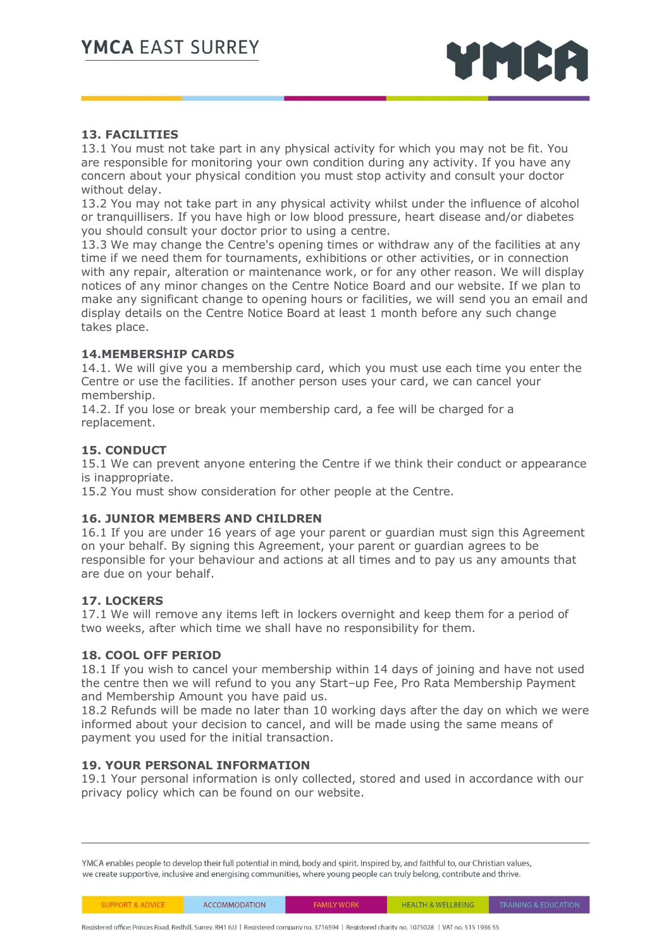

# **13. FACILITIES**

13.1 You must not take part in any physical activity for which you may not be fit. You are responsible for monitoring your own condition during any activity. If you have any concern about your physical condition you must stop activity and consult your doctor without delay.

13.2 You may not take part in any physical activity whilst under the influence of alcohol or tranquillisers. If you have high or low blood pressure, heart disease and/or diabetes you should consult your doctor prior to using a centre.

13.3 We may change the Centre's opening times or withdraw any of the facilities at any time if we need them for tournaments, exhibitions or other activities, or in connection with any repair, alteration or maintenance work, or for any other reason. We will display notices of any minor changes on the Centre Notice Board and our website. If we plan to make any significant change to opening hours or facilities, we will send you an email and display details on the Centre Notice Board at least 1 month before any such change takes place.

## **14.MEMBERSHIP CARDS**

14.1. We will give you a membership card, which you must use each time you enter the Centre or use the facilities. If another person uses your card, we can cancel your membership.

14.2. If you lose or break your membership card, a fee will be charged for a replacement.

## **15. CONDUCT**

15.1 We can prevent anyone entering the Centre if we think their conduct or appearance is inappropriate.

15.2 You must show consideration for other people at the Centre.

#### **16. JUNIOR MEMBERS AND CHILDREN**

16.1 If you are under 16 years of age your parent or guardian must sign this Agreement on your behalf. By signing this Agreement, your parent or guardian agrees to be responsible for your behaviour and actions at all times and to pay us any amounts that are due on your behalf.

#### **17. LOCKERS**

17.1 We will remove any items left in lockers overnight and keep them for a period of two weeks, after which time we shall have no responsibility for them.

#### **18. COOL OFF PERIOD**

18.1 If you wish to cancel your membership within 14 days of joining and have not used the centre then we will refund to you any Start–up Fee, Pro Rata Membership Payment and Membership Amount you have paid us.

18.2 Refunds will be made no later than 10 working days after the day on which we were informed about your decision to cancel, and will be made using the same means of payment you used for the initial transaction.

#### **19. YOUR PERSONAL INFORMATION**

19.1 Your personal information is only collected, stored and used in accordance with our privacy policy which can be found on our website.